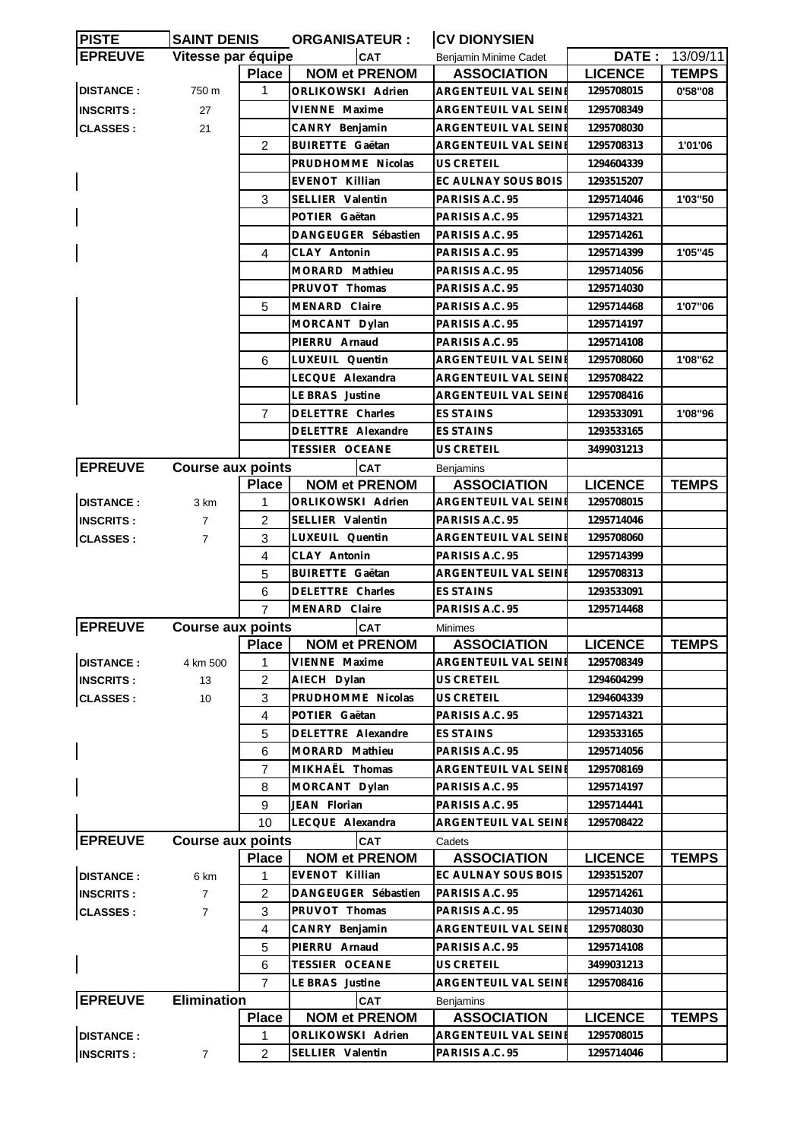| <b>PISTE</b>     | <b>SAINT DENIS</b>       |                | <b>ORGANISATEUR:</b>    | <b>CV DIONYSIEN</b>         |                |              |  |
|------------------|--------------------------|----------------|-------------------------|-----------------------------|----------------|--------------|--|
| <b>EPREUVE</b>   | Vitesse par équipe       |                | <b>CAT</b>              | Benjamin Minime Cadet       | DATE:          | 13/09/11     |  |
|                  |                          | <b>Place</b>   | <b>NOM et PRENOM</b>    | <b>ASSOCIATION</b>          | <b>LICENCE</b> | <b>TEMPS</b> |  |
| <b>DISTANCE:</b> | 750 m                    | 1              | ORLIKOWSKI Adrien       | ARGENTEUIL VAL SEINE        | 1295708015     | 0'58"08      |  |
| <b>INSCRITS:</b> | 27                       |                | VIENNE Maxime           | ARGENTEUIL VAL SEINI        | 1295708349     |              |  |
| <b>CLASSES:</b>  | 21                       |                | CANRY Benjamin          | <b>ARGENTEUIL VAL SEINE</b> | 1295708030     |              |  |
|                  |                          | 2              | <b>BUIRETTE Gaëtan</b>  | ARGENTEUIL VAL SEINI        | 1295708313     | 1'01'06      |  |
|                  |                          |                | PRUDHOMME Nicolas       | US CRETEIL                  | 1294604339     |              |  |
|                  |                          |                | <b>EVENOT Killian</b>   | EC AULNAY SOUS BOIS         | 1293515207     |              |  |
|                  |                          | 3              | SELLIER Valentin        | PARISIS A.C. 95             | 1295714046     | 1'03"50      |  |
|                  |                          |                | POTIER Gaëtan           | PARISIS A.C. 95             | 1295714321     |              |  |
|                  |                          |                | DANGEUGER Sébastien     | PARISIS A.C. 95             | 1295714261     |              |  |
|                  |                          | 4              | CLAY Antonin            | PARISIS A.C. 95             | 1295714399     | 1'05"45      |  |
|                  |                          |                | MORARD Mathieu          | PARISIS A.C. 95             | 1295714056     |              |  |
|                  |                          |                | PRUVOT Thomas           | PARISIS A.C. 95             | 1295714030     |              |  |
|                  |                          | 5              | MENARD Claire           | PARISIS A.C. 95             | 1295714468     | 1'07"06      |  |
|                  |                          |                |                         |                             |                |              |  |
|                  |                          |                | MORCANT Dylan           | PARISIS A.C. 95             | 1295714197     |              |  |
|                  |                          |                | PIERRU Arnaud           | PARISIS A.C. 95             | 1295714108     |              |  |
|                  |                          | 6              | LUXEUIL Quentin         | ARGENTEUIL VAL SEINE        | 1295708060     | 1'08"62      |  |
|                  |                          |                | LECQUE Alexandra        | ARGENTEUIL VAL SEINI        | 1295708422     |              |  |
|                  |                          |                | LE BRAS Justine         | ARGENTEUIL VAL SEINI        | 1295708416     |              |  |
|                  |                          | $\overline{7}$ | DELETTRE Charles        | <b>ES STAINS</b>            | 1293533091     | 1'08"96      |  |
|                  |                          |                | DELETTRE Alexandre      | <b>ES STAINS</b>            | 1293533165     |              |  |
|                  |                          |                | TESSIER OCEANE          | US CRETEIL                  | 3499031213     |              |  |
| <b>EPREUVE</b>   | <b>Course aux points</b> |                | <b>CAT</b>              | <b>Benjamins</b>            |                |              |  |
|                  |                          | <b>Place</b>   | <b>NOM et PRENOM</b>    | <b>ASSOCIATION</b>          | <b>LICENCE</b> | <b>TEMPS</b> |  |
| <b>DISTANCE:</b> | 3 km                     | 1              | ORLIKOWSKI Adrien       | ARGENTEUIL VAL SEINE        | 1295708015     |              |  |
| <b>INSCRITS:</b> | $\overline{7}$           | $\overline{2}$ | SELLIER Valentin        | PARISIS A.C. 95             | 1295714046     |              |  |
| <b>CLASSES:</b>  | $\overline{7}$           | 3              | LUXEUIL Quentin         | ARGENTEUIL VAL SEINI        | 1295708060     |              |  |
|                  |                          | 4              | CLAY Antonin            | PARISIS A.C. 95             | 1295714399     |              |  |
|                  |                          | 5              | <b>BUIRETTE Gaëtan</b>  | ARGENTEUIL VAL SEINE        | 1295708313     |              |  |
|                  |                          | 6              | <b>DELETTRE Charles</b> | <b>ES STAINS</b>            | 1293533091     |              |  |
|                  |                          | $\overline{7}$ | MENARD Claire           | PARISIS A.C. 95             | 1295714468     |              |  |
| <b>EPREUVE</b>   | <b>Course aux points</b> |                | CAT                     | Minimes                     |                |              |  |
|                  | Place                    |                | <b>NOM et PRENOM</b>    | <b>ASSOCIATION</b>          | <b>LICENCE</b> | <b>TEMPS</b> |  |
| <b>DISTANCE:</b> | 4 km 500                 | 1              | VIENNE Maxime           | ARGENTEUIL VAL SEINI        | 1295708349     |              |  |
| <b>INSCRITS:</b> | 13                       | $\overline{2}$ | AIECH Dylan             | <b>US CRETEIL</b>           | 1294604299     |              |  |
| <b>CLASSES:</b>  | 10                       | 3              | PRUDHOMME Nicolas       | US CRETEIL                  | 1294604339     |              |  |
|                  |                          | 4              | POTIER Gaëtan           | PARISIS A.C. 95             | 1295714321     |              |  |
|                  |                          | 5              | DELETTRE Alexandre      | <b>ES STAINS</b>            | 1293533165     |              |  |
|                  |                          | 6              | MORARD Mathieu          | PARISIS A.C. 95             | 1295714056     |              |  |
|                  |                          | $\overline{7}$ | MIKHAËL Thomas          | ARGENTEUIL VAL SEINE        | 1295708169     |              |  |
|                  |                          | 8              | MORCANT Dylan           | PARISIS A.C. 95             | 1295714197     |              |  |
|                  |                          | 9              | JEAN Florian            | PARISIS A.C. 95             | 1295714441     |              |  |
|                  |                          |                |                         |                             |                |              |  |
|                  |                          | 10             | LECQUE Alexandra        | ARGENTEUIL VAL SEINI        | 1295708422     |              |  |
| <b>EPREUVE</b>   | <b>Course aux points</b> |                | CAT                     | Cadets                      |                |              |  |
|                  |                          | <b>Place</b>   | <b>NOM et PRENOM</b>    | <b>ASSOCIATION</b>          | <b>LICENCE</b> | <b>TEMPS</b> |  |
| <b>DISTANCE:</b> | 6 km                     | 1              | EVENOT Killian          | EC AULNAY SOUS BOIS         | 1293515207     |              |  |
| <b>INSCRITS:</b> | $\overline{7}$           | $\overline{2}$ | DANGEUGER Sébastien     | PARISIS A.C. 95             | 1295714261     |              |  |
| <b>CLASSES:</b>  | $\overline{7}$           | 3              | PRUVOT Thomas           | PARISIS A.C. 95             | 1295714030     |              |  |
|                  |                          | 4              | CANRY Benjamin          | ARGENTEUIL VAL SEINI        | 1295708030     |              |  |
|                  |                          | 5              | PIERRU Arnaud           | PARISIS A.C. 95             | 1295714108     |              |  |
|                  |                          | 6              | <b>TESSIER OCEANE</b>   | US CRETEIL                  | 3499031213     |              |  |
|                  |                          | 7              | LE BRAS Justine         | ARGENTEUIL VAL SEINE        | 1295708416     |              |  |
| <b>EPREUVE</b>   | <b>Elimination</b>       |                | CAT                     | Benjamins                   |                |              |  |
|                  |                          | <b>Place</b>   | <b>NOM et PRENOM</b>    | <b>ASSOCIATION</b>          | <b>LICENCE</b> | <b>TEMPS</b> |  |
| <b>DISTANCE:</b> |                          | 1              | ORLIKOWSKI Adrien       | ARGENTEUIL VAL SEINI        | 1295708015     |              |  |
| <b>INSCRITS:</b> | 7                        | $\overline{2}$ | SELLIER Valentin        | PARISIS A.C. 95             | 1295714046     |              |  |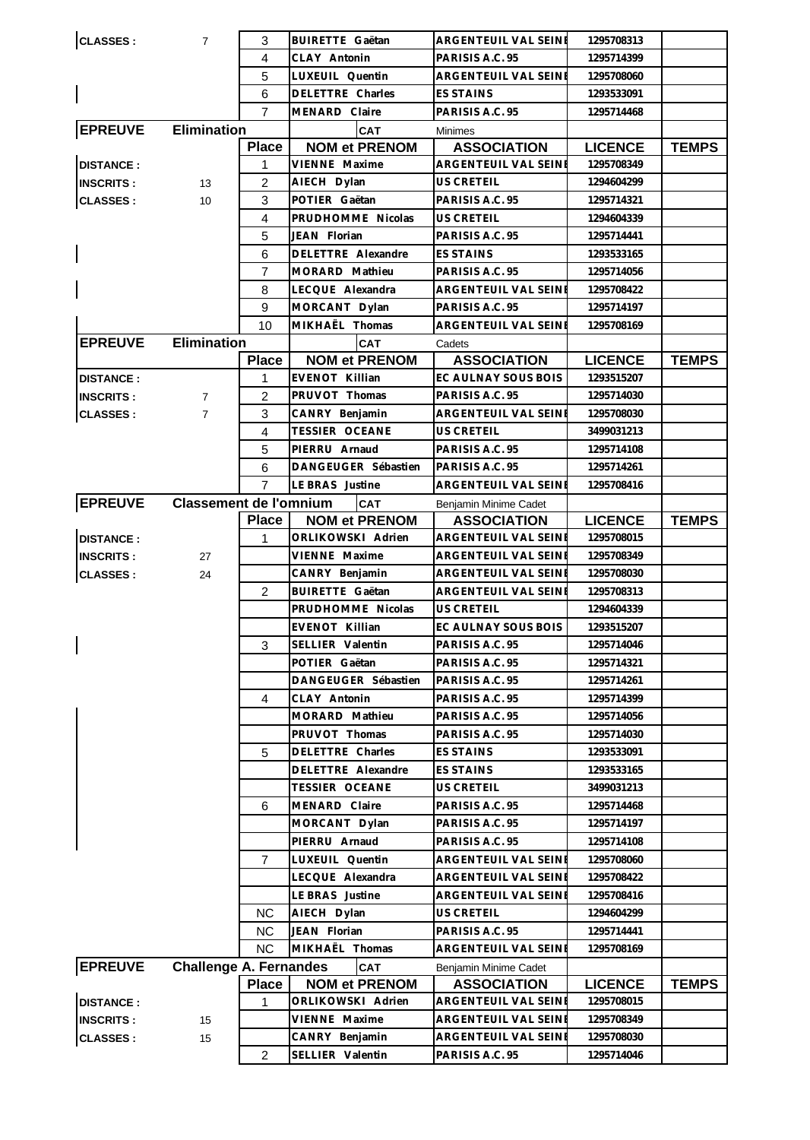| $\mathsf{l}$<br><b>EPREUVE</b>       |                               | 4              |                                          | ARGENTEUIL VAL SEINE                         | 1295708313               |              |
|--------------------------------------|-------------------------------|----------------|------------------------------------------|----------------------------------------------|--------------------------|--------------|
|                                      |                               |                | CLAY Antonin                             | PARISIS A.C. 95                              | 1295714399               |              |
|                                      |                               | 5              | LUXEUIL Quentin                          | ARGENTEUIL VAL SEINI                         | 1295708060               |              |
|                                      |                               | 6              | DELETTRE Charles                         | <b>ES STAINS</b>                             | 1293533091               |              |
|                                      |                               | $\overline{7}$ | MENARD Claire                            | PARISIS A.C. 95                              | 1295714468               |              |
|                                      | <b>Elimination</b>            |                | <b>CAT</b>                               | <b>Minimes</b>                               |                          |              |
|                                      |                               | <b>Place</b>   | <b>NOM et PRENOM</b>                     | <b>ASSOCIATION</b>                           | <b>LICENCE</b>           | <b>TEMPS</b> |
| <b>DISTANCE:</b>                     |                               | 1              | VIENNE Maxime                            | ARGENTEUIL VAL SEINE                         | 1295708349               |              |
| <b>INSCRITS:</b>                     | 13                            | 2              | AIECH Dylan                              | US CRETEIL                                   | 1294604299               |              |
| <b>CLASSES:</b>                      | 10                            | 3              | POTIER Gaëtan                            | PARISIS A.C. 95                              | 1295714321               |              |
|                                      |                               | 4              | PRUDHOMME Nicolas                        | <b>US CRETEIL</b>                            | 1294604339               |              |
|                                      | 5                             |                | JEAN Florian                             | PARISIS A.C. 95                              | 1295714441               |              |
|                                      |                               | 6              | DELETTRE Alexandre                       | <b>ES STAINS</b>                             | 1293533165               |              |
|                                      |                               | $\overline{7}$ | MORARD Mathieu                           | PARISIS A.C. 95                              | 1295714056               |              |
|                                      | 8<br>9                        |                | LECQUE Alexandra                         | ARGENTEUIL VAL SEINE                         | 1295708422               |              |
|                                      |                               |                | MORCANT Dylan                            | PARISIS A.C. 95                              | 1295714197               |              |
|                                      |                               | 10             | MIKHAËL Thomas                           | ARGENTEUIL VAL SEINE                         | 1295708169               |              |
| <b>Elimination</b><br><b>EPREUVE</b> |                               |                | <b>CAT</b>                               | Cadets                                       |                          |              |
|                                      |                               | <b>Place</b>   | <b>NOM et PRENOM</b>                     | <b>ASSOCIATION</b>                           | <b>LICENCE</b>           | <b>TEMPS</b> |
| <b>DISTANCE:</b>                     |                               | 1              | <b>EVENOT Killian</b>                    | EC AULNAY SOUS BOIS                          | 1293515207               |              |
| <b>INSCRITS:</b>                     | $\overline{7}$                | 2              | PRUVOT Thomas                            | PARISIS A.C. 95                              | 1295714030               |              |
| <b>CLASSES:</b>                      | $\overline{7}$                | 3              | CANRY Benjamin                           | ARGENTEUIL VAL SEINE                         | 1295708030               |              |
|                                      |                               | 4              | <b>TESSIER OCEANE</b>                    | US CRETEIL                                   | 3499031213               |              |
|                                      |                               | 5              | PIERRU Arnaud                            | PARISIS A.C. 95                              | 1295714108               |              |
|                                      |                               | 6              | DANGEUGER Sébastien                      | PARISIS A.C. 95                              | 1295714261               |              |
|                                      |                               | $\overline{7}$ | LE BRAS Justine                          | ARGENTEUIL VAL SEINE                         | 1295708416               |              |
| <b>EPREUVE</b>                       | <b>Classement de l'omnium</b> |                | <b>CAT</b>                               | Benjamin Minime Cadet                        |                          |              |
|                                      |                               | <b>Place</b>   | <b>NOM et PRENOM</b>                     | <b>ASSOCIATION</b>                           | <b>LICENCE</b>           | <b>TEMPS</b> |
| <b>DISTANCE:</b>                     |                               | 1              | ORLIKOWSKI Adrien<br>VIENNE Maxime       | ARGENTEUIL VAL SEINE                         | 1295708015               |              |
| <b>INSCRITS:</b>                     | 27                            |                |                                          | ARGENTEUIL VAL SEINE<br>ARGENTEUIL VAL SEINE | 1295708349<br>1295708030 |              |
| <b>CLASSES:</b>                      | 24                            | $\overline{2}$ | CANRY Benjamin<br><b>BUIRETTE Gaëtan</b> | ARGENTEUIL VAL SEINE                         | 1295708313               |              |
|                                      |                               |                |                                          |                                              |                          |              |
|                                      |                               |                |                                          |                                              |                          |              |
|                                      |                               |                | PRUDHOMME Nicolas                        | US CRETEIL                                   | 1294604339               |              |
|                                      |                               |                | EVENOT Killian                           | EC AULNAY SOUS BOIS                          | 1293515207               |              |
|                                      |                               | 3              | SELLIER Valentin                         | PARISIS A.C. 95                              | 1295714046               |              |
|                                      |                               |                | POTIER Gaëtan                            | PARISIS A.C. 95                              | 1295714321               |              |
|                                      |                               |                | DANGEUGER Sébastien                      | PARISIS A.C. 95                              | 1295714261               |              |
|                                      |                               | 4              | CLAY Antonin                             | PARISIS A.C. 95                              | 1295714399               |              |
|                                      |                               |                | MORARD Mathieu                           | PARISIS A.C. 95                              | 1295714056               |              |
|                                      |                               |                | PRUVOT Thomas                            | PARISIS A.C. 95                              | 1295714030               |              |
|                                      |                               | 5              | DELETTRE Charles                         | <b>ES STAINS</b>                             | 1293533091               |              |
|                                      |                               |                | DELETTRE Alexandre                       | ES STAINS                                    | 1293533165               |              |
|                                      |                               |                | TESSIER OCEANE                           | US CRETEIL                                   | 3499031213               |              |
|                                      |                               | 6              | MENARD Claire                            | PARISIS A.C. 95                              | 1295714468               |              |
|                                      |                               |                | MORCANT Dylan                            | PARISIS A.C. 95<br>PARISIS A.C. 95           | 1295714197               |              |
|                                      |                               | $\overline{7}$ | PIERRU Arnaud                            | ARGENTEUIL VAL SEINE                         | 1295714108<br>1295708060 |              |
|                                      |                               |                | LUXEUIL Quentin<br>LECQUE Alexandra      | ARGENTEUIL VAL SEINE                         | 1295708422               |              |
|                                      |                               |                | LE BRAS Justine                          | ARGENTEUIL VAL SEINE                         | 1295708416               |              |
|                                      |                               | NС             | AIECH Dylan                              | US CRETEIL                                   | 1294604299               |              |
|                                      |                               | <b>NC</b>      | JEAN Florian                             | PARISIS A.C. 95                              | 1295714441               |              |
|                                      |                               | <b>NC</b>      | MIKHAËL Thomas                           | ARGENTEUIL VAL SEINE                         | 1295708169               |              |
| <b>EPREUVE</b>                       | <b>Challenge A. Fernandes</b> |                | <b>CAT</b>                               | Benjamin Minime Cadet                        |                          |              |
|                                      |                               | <b>Place</b>   | <b>NOM et PRENOM</b>                     | <b>ASSOCIATION</b>                           | <b>LICENCE</b>           | <b>TEMPS</b> |
| <b>DISTANCE:</b>                     |                               | 1              | ORLIKOWSKI Adrien                        | ARGENTEUIL VAL SEINE                         | 1295708015               |              |
| <b>INSCRITS:</b>                     | 15                            |                | VIENNE Maxime                            | ARGENTEUIL VAL SEINE                         | 1295708349               |              |
| <b>CLASSES:</b>                      | 15                            |                | CANRY Benjamin                           | ARGENTEUIL VAL SEINE                         | 1295708030               |              |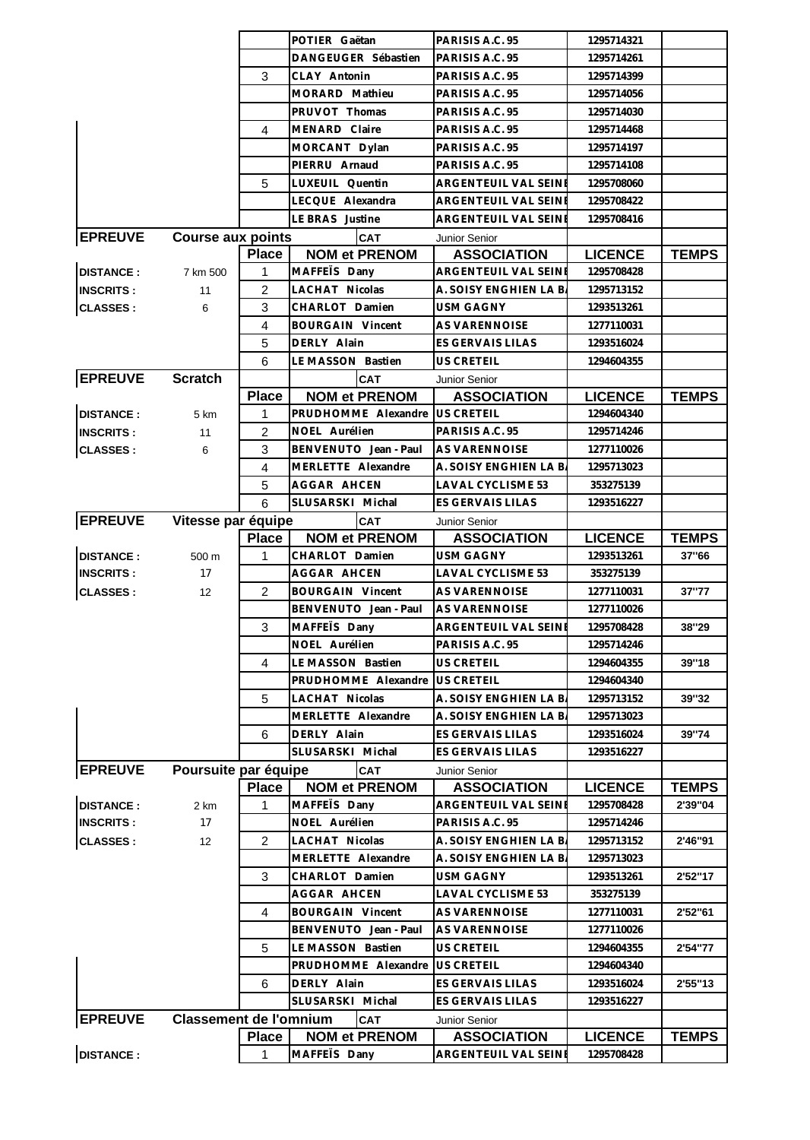|                  |                               |                   | POTIER Gaëtan                        |                 | PARISIS A.C. 95                            | 1295714321                   |              |
|------------------|-------------------------------|-------------------|--------------------------------------|-----------------|--------------------------------------------|------------------------------|--------------|
|                  |                               |                   | DANGEUGER Sébastien                  |                 | PARISIS A.C. 95                            | 1295714261                   |              |
|                  |                               | 3<br>CLAY Antonin |                                      | PARISIS A.C. 95 | 1295714399                                 |                              |              |
|                  |                               |                   | MORARD Mathieu                       |                 | PARISIS A.C. 95                            | 1295714056                   |              |
|                  |                               | PRUVOT Thomas     |                                      | PARISIS A.C. 95 | 1295714030                                 |                              |              |
|                  |                               | 4                 | MENARD Claire                        |                 | PARISIS A.C. 95                            | 1295714468                   |              |
|                  |                               |                   | MORCANT Dylan                        |                 | PARISIS A.C. 95                            | 1295714197                   |              |
|                  |                               | PIERRU Arnaud     |                                      | PARISIS A.C. 95 | 1295714108                                 |                              |              |
| 5                |                               |                   | LUXEUIL Quentin                      |                 | ARGENTEUIL VAL SEINI                       | 1295708060                   |              |
|                  |                               |                   | LECQUE Alexandra                     |                 | ARGENTEUIL VAL SEINE                       | 1295708422                   |              |
|                  |                               |                   | LE BRAS Justine                      |                 | ARGENTEUIL VAL SEINE                       | 1295708416                   |              |
| <b>EPREUVE</b>   | <b>Course aux points</b>      |                   | <b>CAT</b>                           |                 | Junior Senior                              |                              |              |
|                  |                               | <b>Place</b>      | <b>NOM et PRENOM</b>                 |                 | <b>ASSOCIATION</b>                         | <b>LICENCE</b>               | <b>TEMPS</b> |
| <b>DISTANCE:</b> | 7 km 500                      | 1                 | MAFFETS Dany                         |                 | ARGENTEUIL VAL SEINE                       | 1295708428                   |              |
| <b>INSCRITS:</b> | 11                            | $\overline{c}$    | LACHAT Nicolas                       |                 | A. SOISY ENGHIEN LA B.                     | 1295713152                   |              |
| <b>CLASSES:</b>  | 6                             | 3                 | CHARLOT Damien                       |                 | <b>USM GAGNY</b>                           | 1293513261                   |              |
|                  |                               | 4                 | <b>BOURGAIN Vincent</b>              |                 | <b>AS VARENNOISE</b>                       | 1277110031                   |              |
|                  |                               | 5                 | DERLY Alain                          |                 | ES GERVAIS LILAS                           | 1293516024                   |              |
|                  |                               | 6                 | LE MASSON Bastien                    |                 | US CRETEIL                                 | 1294604355                   |              |
| <b>EPREUVE</b>   | <b>Scratch</b>                |                   | CAT                                  |                 | Junior Senior                              |                              |              |
|                  |                               | <b>Place</b>      | <b>NOM et PRENOM</b>                 |                 | <b>ASSOCIATION</b>                         | <b>LICENCE</b>               | <b>TEMPS</b> |
| <b>DISTANCE:</b> | 5 km                          | 1                 | PRUDHOMME Alexandre                  |                 | <b>US CRETEIL</b>                          | 1294604340                   |              |
| <b>INSCRITS:</b> | 11                            | 2                 | NOEL Aurélien                        |                 | PARISIS A.C. 95                            | 1295714246                   |              |
| <b>CLASSES:</b>  | 6                             | 3                 | BENVENUTO Jean - Paul                |                 | AS VARENNOISE                              | 1277110026                   |              |
|                  |                               | 4                 | MERLETTE Alexandre                   |                 | A. SOISY ENGHIEN LA B.                     | 1295713023                   |              |
|                  |                               | 5                 | AGGAR AHCEN                          |                 | LAVAL CYCLISME 53                          | 353275139                    |              |
|                  |                               | 6                 | SLUSARSKI Michal                     |                 | ES GERVAIS LILAS                           | 1293516227                   |              |
| <b>EPREUVE</b>   | Vitesse par équipe            |                   | CAT                                  |                 |                                            |                              |              |
|                  |                               | <b>Place</b>      | <b>NOM et PRENOM</b>                 |                 | Junior Senior<br><b>ASSOCIATION</b>        | <b>LICENCE</b>               | <b>TEMPS</b> |
| <b>DISTANCE:</b> | 500 m                         | 1                 | CHARLOT Damien                       |                 | USM GAGNY                                  | 1293513261                   | 37"66        |
|                  |                               |                   |                                      |                 |                                            |                              |              |
|                  |                               |                   |                                      |                 |                                            |                              |              |
| <b>INSCRITS:</b> | 17                            |                   | AGGAR AHCEN                          |                 | LAVAL CYCLISME 53                          | 353275139                    |              |
| <b>CLASSES:</b>  | 12                            | 2                 | <b>BOURGAIN Vincent</b>              |                 | <b>AS VARENNOISE</b>                       | 1277110031                   | 37"77        |
|                  |                               |                   | BENVENUTO Jean - Paul                |                 | <b>AS VARENNOISE</b>                       | 1277110026                   |              |
|                  |                               | 3                 | MAFFEIS Dany                         |                 | ARGENTEUIL VAL SEINI                       | 1295708428                   | 38"29        |
|                  |                               |                   | NOEL Aurélien                        |                 | PARISIS A.C. 95                            | 1295714246                   |              |
|                  |                               | 4                 | LE MASSON Bastien                    |                 | US CRETEIL                                 | 1294604355                   | 39"18        |
|                  |                               |                   | PRUDHOMME Alexandre                  |                 | <b>US CRETEIL</b>                          | 1294604340                   |              |
|                  |                               | 5                 | LACHAT Nicolas                       |                 | A. SOISY ENGHIEN LA B.                     | 1295713152                   | 39"32        |
|                  |                               |                   | MERLETTE Alexandre                   |                 | A. SOISY ENGHIEN LA B.                     | 1295713023                   |              |
|                  |                               | 6                 | DERLY Alain                          |                 | ES GERVAIS LILAS                           | 1293516024                   | 39"74        |
|                  |                               |                   | SLUSARSKI Michal                     |                 | ES GERVAIS LILAS                           | 1293516227                   |              |
| <b>EPREUVE</b>   | Poursuite par équipe          |                   | <b>CAT</b>                           |                 | Junior Senior                              |                              |              |
|                  |                               | <b>Place</b>      | <b>NOM et PRENOM</b>                 |                 | <b>ASSOCIATION</b>                         | <b>LICENCE</b>               | <b>TEMPS</b> |
| <b>DISTANCE:</b> | 2 km                          | 1                 | MAFFETS Dany                         |                 | ARGENTEUIL VAL SEINE                       | 1295708428                   | 2'39"04      |
| <b>INSCRITS:</b> | 17                            |                   | NOEL Aurélien                        |                 | PARISIS A.C. 95                            | 1295714246                   |              |
| <b>CLASSES:</b>  | 12                            | 2                 | LACHAT Nicolas                       |                 | A. SOISY ENGHIEN LA B.                     | 1295713152                   | 2'46"91      |
|                  |                               |                   | MERLETTE Alexandre                   |                 | A. SOISY ENGHIEN LA B.                     | 1295713023                   |              |
|                  |                               | 3                 | CHARLOT Damien                       |                 | USM GAGNY                                  | 1293513261                   | 2'52"17      |
|                  |                               |                   | AGGAR AHCEN                          |                 | LAVAL CYCLISME 53                          | 353275139                    |              |
|                  |                               | 4                 | <b>BOURGAIN Vincent</b>              |                 | AS VARENNOISE                              | 1277110031                   | 2'52"61      |
|                  |                               |                   | BENVENUTO Jean - Paul                |                 | AS VARENNOISE                              | 1277110026                   |              |
|                  |                               | 5                 | LE MASSON Bastien                    |                 | US CRETEIL                                 | 1294604355                   | 2'54"77      |
|                  |                               |                   | PRUDHOMME Alexandre                  |                 | <b>US CRETEIL</b>                          | 1294604340                   |              |
|                  |                               | 6                 | DERLY Alain                          |                 | ES GERVAIS LILAS                           | 1293516024                   | 2'55"13      |
|                  |                               |                   | SLUSARSKI Michal                     |                 | ES GERVAIS LILAS                           | 1293516227                   |              |
| <b>EPREUVE</b>   | <b>Classement de l'omnium</b> |                   | <b>CAT</b>                           |                 | Junior Senior                              |                              |              |
| <b>DISTANCE:</b> |                               | <b>Place</b><br>1 | <b>NOM et PRENOM</b><br>MAFFETS Dany |                 | <b>ASSOCIATION</b><br>ARGENTEUIL VAL SEINE | <b>LICENCE</b><br>1295708428 | <b>TEMPS</b> |